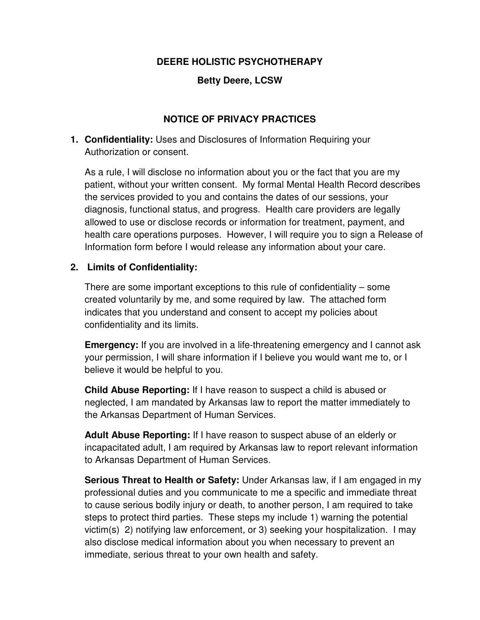#### **DEERE HOLISTIC PSYCHOTHERAPY**

## **Betty Deere, LCSW**

## **NOTICE OF PRIVACY PRACTICES**

**1. Confidentiality:** Uses and Disclosures of Information Requiring your Authorization or consent.

As a rule, I will disclose no information about you or the fact that you are my patient, without your written consent. My formal Mental Health Record describes the services provided to you and contains the dates of our sessions, your diagnosis, functional status, and progress. Health care providers are legally allowed to use or disclose records or information for treatment, payment, and health care operations purposes. However, I will require you to sign a Release of Information form before I would release any information about your care.

#### **2. Limits of Confidentiality:**

There are some important exceptions to this rule of confidentiality – some created voluntarily by me, and some required by law. The attached form indicates that you understand and consent to accept my policies about confidentiality and its limits.

**Emergency:** If you are involved in a life-threatening emergency and I cannot ask your permission, I will share information if I believe you would want me to, or I believe it would be helpful to you.

**Child Abuse Reporting:** If I have reason to suspect a child is abused or neglected, I am mandated by Arkansas law to report the matter immediately to the Arkansas Department of Human Services.

**Adult Abuse Reporting:** If I have reason to suspect abuse of an elderly or incapacitated adult, I am required by Arkansas law to report relevant information to Arkansas Department of Human Services.

**Serious Threat to Health or Safety:** Under Arkansas law, if I am engaged in my professional duties and you communicate to me a specific and immediate threat to cause serious bodily injury or death, to another person, I am required to take steps to protect third parties. These steps my include 1) warning the potential victim(s) 2) notifying law enforcement, or 3) seeking your hospitalization. I may also disclose medical information about you when necessary to prevent an immediate, serious threat to your own health and safety.